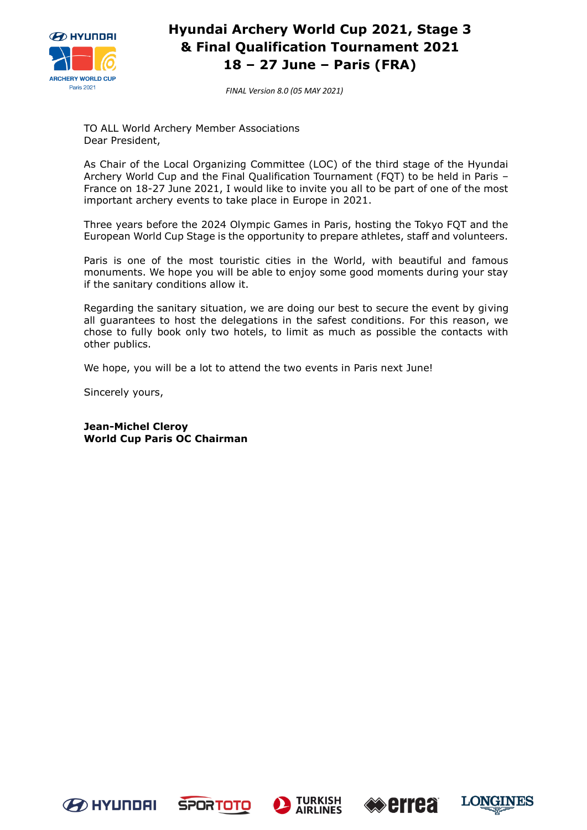

*FINAL Version 8.0 (05 MAY 2021)*

TO ALL World Archery Member Associations Dear President,

As Chair of the Local Organizing Committee (LOC) of the third stage of the Hyundai Archery World Cup and the Final Qualification Tournament (FQT) to be held in Paris – France on 18-27 June 2021, I would like to invite you all to be part of one of the most important archery events to take place in Europe in 2021.

Three years before the 2024 Olympic Games in Paris, hosting the Tokyo FQT and the European World Cup Stage is the opportunity to prepare athletes, staff and volunteers.

Paris is one of the most touristic cities in the World, with beautiful and famous monuments. We hope you will be able to enjoy some good moments during your stay if the sanitary conditions allow it.

Regarding the sanitary situation, we are doing our best to secure the event by giving all guarantees to host the delegations in the safest conditions. For this reason, we chose to fully book only two hotels, to limit as much as possible the contacts with other publics.

We hope, you will be a lot to attend the two events in Paris next June!

Sincerely yours,

**Jean-Michel Cleroy World Cup Paris OC Chairman**









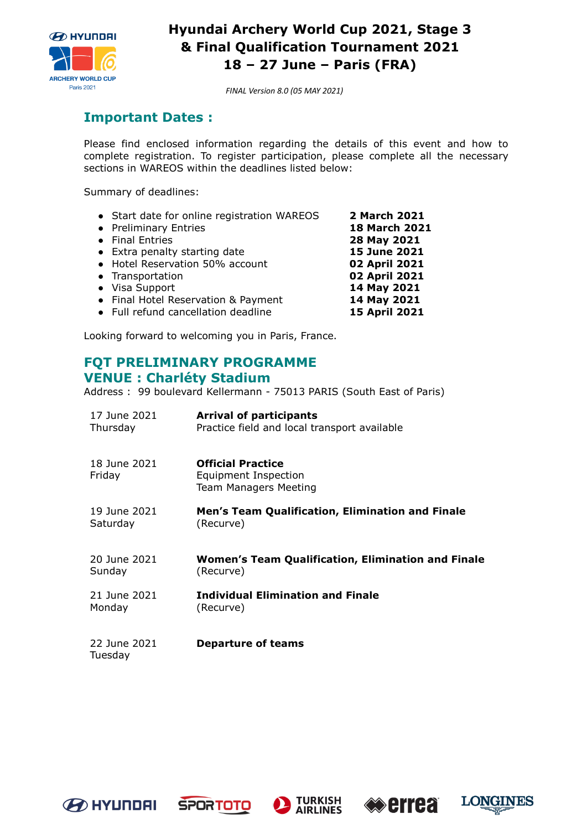

*FINAL Version 8.0 (05 MAY 2021)*

### **Important Dates :**

Please find enclosed information regarding the details of this event and how to complete registration. To register participation, please complete all the necessary sections in WAREOS within the deadlines listed below:

Summary of deadlines:

| • Start date for online registration WAREOS | 2 March 2021         |
|---------------------------------------------|----------------------|
| • Preliminary Entries                       | <b>18 March 2021</b> |
| • Final Entries                             | 28 May 2021          |
| • Extra penalty starting date               | 15 June 2021         |
| • Hotel Reservation 50% account             | 02 April 2021        |
| • Transportation                            | 02 April 2021        |
| • Visa Support                              | 14 May 2021          |
| • Final Hotel Reservation & Payment         | 14 May 2021          |
| • Full refund cancellation deadline         | 15 April 2021        |

Looking forward to welcoming you in Paris, France.

### **FQT PRELIMINARY PROGRAMME VENUE : Charléty Stadium**

Address : 99 boulevard Kellermann - 75013 PARIS (South East of Paris)

| 17 June 2021            | <b>Arrival of participants</b>                                                   |
|-------------------------|----------------------------------------------------------------------------------|
| Thursday                | Practice field and local transport available                                     |
| 18 June 2021<br>Friday  | <b>Official Practice</b><br>Equipment Inspection<br><b>Team Managers Meeting</b> |
| 19 June 2021            | Men's Team Qualification, Elimination and Finale                                 |
| Saturday                | (Recurve)                                                                        |
| 20 June 2021            | <b>Women's Team Qualification, Elimination and Finale</b>                        |
| Sunday                  | (Recurve)                                                                        |
| 21 June 2021            | <b>Individual Elimination and Finale</b>                                         |
| Monday                  | (Recurve)                                                                        |
| 22 June 2021<br>Tuesday | <b>Departure of teams</b>                                                        |









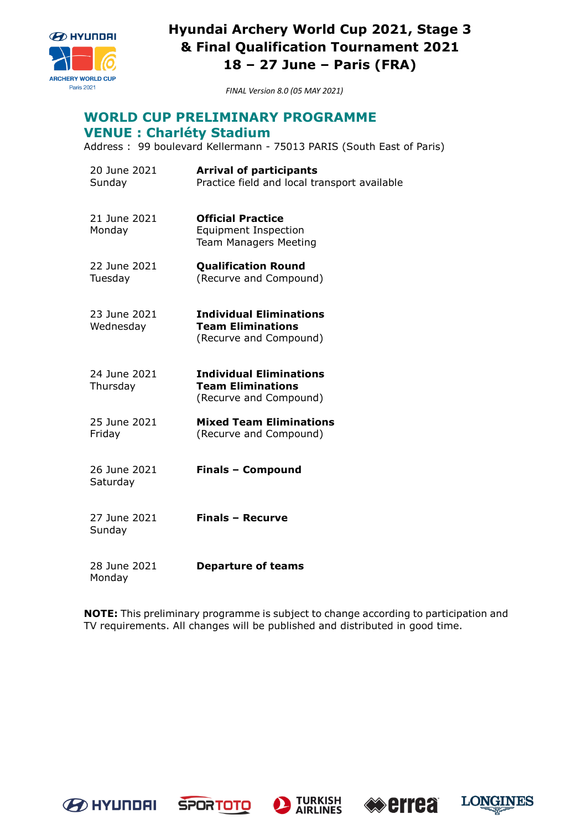

*FINAL Version 8.0 (05 MAY 2021)*

# **WORLD CUP PRELIMINARY PROGRAMME**

### **VENUE : Charléty Stadium**

Address : 99 boulevard Kellermann - 75013 PARIS (South East of Paris)

- 20 June 2021 Sunday **Arrival of participants** Practice field and local transport available 21 June 2021 Monday **Official Practice**  Equipment Inspection Team Managers Meeting 22 June 2021 Tuesday **Qualification Round**  (Recurve and Compound) 23 June 2021 Wednesday **Individual Eliminations Team Eliminations** (Recurve and Compound) 24 June 2021 **Thursday Individual Eliminations Team Eliminations** (Recurve and Compound) 25 June 2021 Friday **Mixed Team Eliminations** (Recurve and Compound) 26 June 2021 **Saturday Finals – Compound**  27 June 2021 **Finals – Recurve**
- 28 June 2021 Monday **Departure of teams**

**NOTE:** This preliminary programme is subject to change according to participation and TV requirements. All changes will be published and distributed in good time.



Sunday







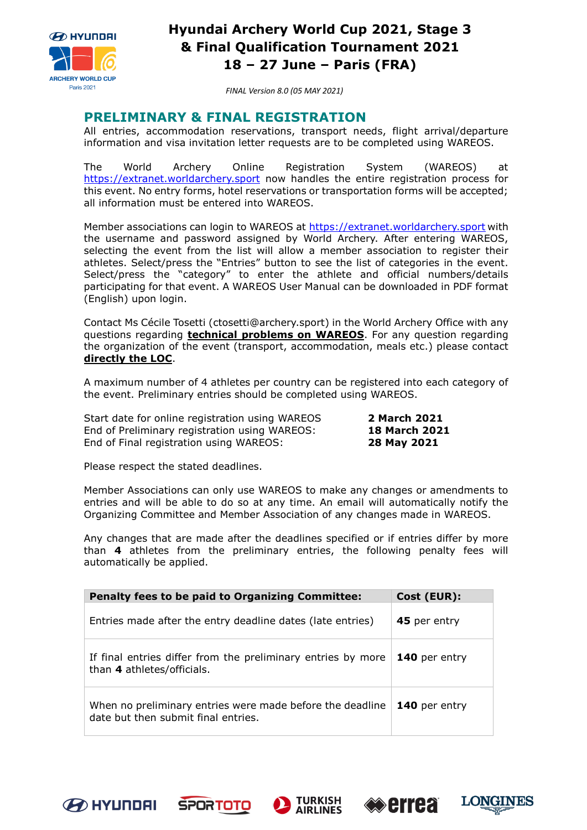

*FINAL Version 8.0 (05 MAY 2021)*

### **PRELIMINARY & FINAL REGISTRATION**

All entries, accommodation reservations, transport needs, flight arrival/departure information and visa invitation letter requests are to be completed using WAREOS.

The World Archery Online Registration System (WAREOS) at [https://extranet.worldarchery.sport](https://extranet.worldarchery.sport/) now handles the entire registration process for this event. No entry forms, hotel reservations or transportation forms will be accepted; all information must be entered into WAREOS.

Member associations can login to WAREOS at [https://extranet.worldarchery.sport](https://extranet.worldarchery.sport/) with the username and password assigned by World Archery. After entering WAREOS, selecting the event from the list will allow a member association to register their athletes. Select/press the "Entries" button to see the list of categories in the event. Select/press the "category" to enter the athlete and official numbers/details participating for that event. A WAREOS User Manual can be downloaded in PDF format (English) upon login.

Contact Ms Cécile Tosetti (ctosetti@archery.sport) in the World Archery Office with any questions regarding **technical problems on WAREOS**. For any question regarding the organization of the event (transport, accommodation, meals etc.) please contact **directly the LOC**.

A maximum number of 4 athletes per country can be registered into each category of the event. Preliminary entries should be completed using WAREOS.

Start date for online registration using WAREOS **2 March 2021**  End of Preliminary registration using WAREOS: **18 March 2021** End of Final registration using WAREOS: **28 May 2021**

Please respect the stated deadlines.

Member Associations can only use WAREOS to make any changes or amendments to entries and will be able to do so at any time. An email will automatically notify the Organizing Committee and Member Association of any changes made in WAREOS.

Any changes that are made after the deadlines specified or if entries differ by more than **4** athletes from the preliminary entries, the following penalty fees will automatically be applied.

| <b>Penalty fees to be paid to Organizing Committee:</b>                                          | Cost (EUR):          |
|--------------------------------------------------------------------------------------------------|----------------------|
| Entries made after the entry deadline dates (late entries)                                       | 45 per entry         |
| If final entries differ from the preliminary entries by more<br>than 4 athletes/officials.       | <b>140</b> per entry |
| When no preliminary entries were made before the deadline<br>date but then submit final entries. | <b>140</b> per entry |









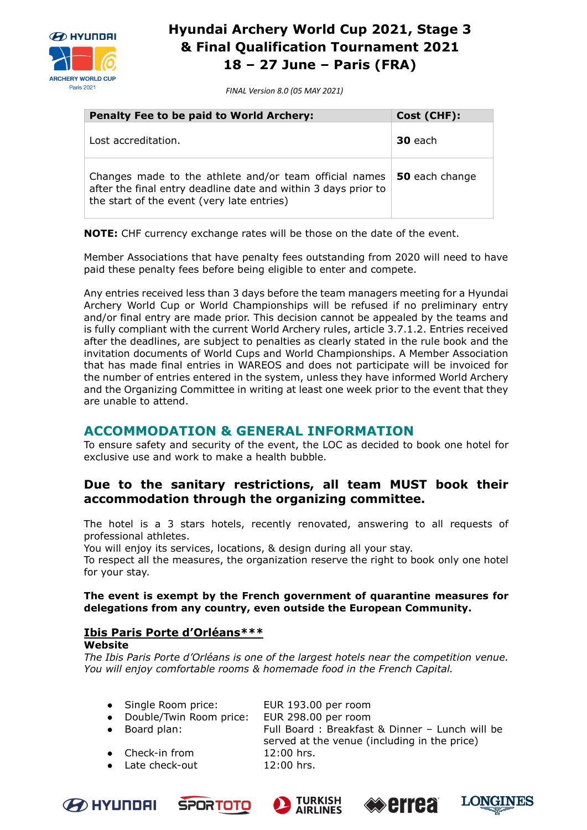

*FINAL Version 8.0 (05 MAY 2021)*

| <b>Penalty Fee to be paid to World Archery:</b>                                                                                                                        | Cost (CHF):    |
|------------------------------------------------------------------------------------------------------------------------------------------------------------------------|----------------|
| Lost accreditation.                                                                                                                                                    | 30 each        |
| Changes made to the athlete and/or team official names<br>after the final entry deadline date and within 3 days prior to<br>the start of the event (very late entries) | 50 each change |

**NOTE:** CHF currency exchange rates will be those on the date of the event.

Member Associations that have penalty fees outstanding from 2020 will need to have paid these penalty fees before being eligible to enter and compete.

Any entries received less than 3 days before the team managers meeting for a Hyundai Archery World Cup or World Championships will be refused if no preliminary entry and/or final entry are made prior. This decision cannot be appealed by the teams and is fully compliant with the current World Archery rules, article 3.7.1.2. Entries received after the deadlines, are subject to penalties as clearly stated in the rule book and the invitation documents of World Cups and World Championships. A Member Association that has made final entries in WAREOS and does not participate will be invoiced for the number of entries entered in the system, unless they have informed World Archery and the Organizing Committee in writing at least one week prior to the event that they are unable to attend.

### **ACCOMMODATION & GENERAL INFORMATION**

To ensure safety and security of the event, the LOC as decided to book one hotel for exclusive use and work to make a health bubble.

### **Due to the sanitary restrictions, all team MUST book their accommodation through the organizing committee.**

The hotel is a 3 stars hotels, recently renovated, answering to all requests of professional athletes.

You will enjoy its services, locations, & design during all your stay.

To respect all the measures, the organization reserve the right to book only one hotel for your stay.

### **The event is exempt by the French government of quarantine measures for delegations from any country, even outside the European Community.**

### **Ibis Paris Porte d'Orléans\*\*\***

#### **[Website](https://www.booking.com/hotel/fr/ibis-paris-porte-d-orleans.en-gb.html?aid=356980&label=gog235jc-1DCAsoTUIaaWJpcy1wYXJpcy1wb3J0ZS1kLW9ybGVhbnNIDVgDaE2IAQGYAQ24ARfIAQ_YAQPoAQH4AQKIAgGoAgO4AoTPuIEGwAIB0gIkOTA5NDU4NTEtM2MxMC00ZTk0LTg5NjctMTNiYjc5MTIyNjFl2AIE4AIB&dist=0&group_adults=2&group_children=0&lang=en-gb&no_rooms=1&room1=A%2CA&sb_price_type=total&soz=1&type=total&lang_click=other;cdl=fr;lang_changed=1)**

*The Ibis Paris Porte d'Orléans is one of the largest hotels near the competition venue. You will enjoy comfortable rooms & homemade food in the French Capital.*

| • Single Room price: | EUR 193.00 per room |
|----------------------|---------------------|
| - ''' - '            | F115.222.2          |

- Double/Twin Room price: EUR 298.00 per room ● Board plan: Full Board : Breakfast & Dinner – Lunch will be
- 
- Check-in from 12:00 hrs.
- Late check-out 12:00 hrs.









served at the venue (including in the price)

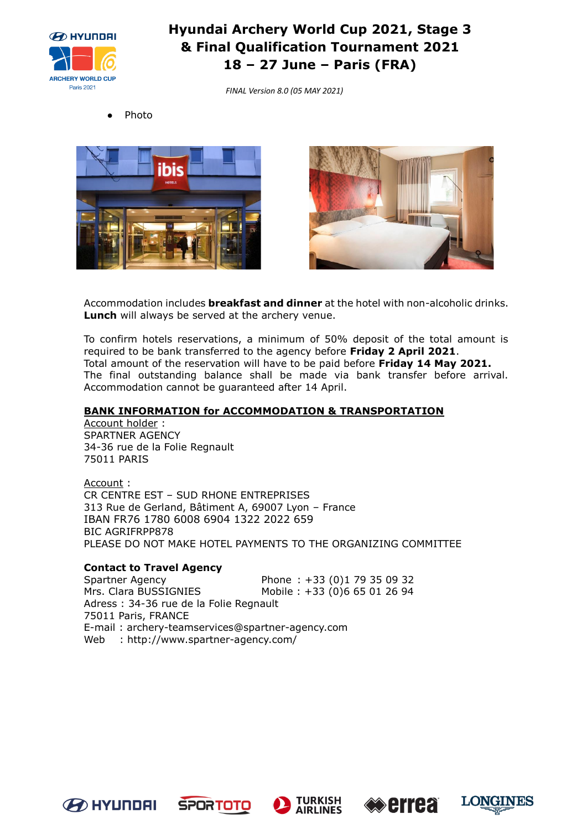

*FINAL Version 8.0 (05 MAY 2021)*







Accommodation includes **breakfast and dinner** at the hotel with non-alcoholic drinks. **Lunch** will always be served at the archery venue.

To confirm hotels reservations, a minimum of 50% deposit of the total amount is required to be bank transferred to the agency before **Friday 2 April 2021**. Total amount of the reservation will have to be paid before **Friday 14 May 2021.** The final outstanding balance shall be made via bank transfer before arrival. Accommodation cannot be guaranteed after 14 April.

### **BANK INFORMATION for ACCOMMODATION & TRANSPORTATION**

Account holder : SPARTNER AGENCY 34-36 rue de la Folie Regnault 75011 PARIS

Account : CR CENTRE EST – SUD RHONE ENTREPRISES 313 Rue de Gerland, Bâtiment A, 69007 Lyon – France IBAN FR76 1780 6008 6904 1322 2022 659 BIC AGRIFRPP878 PLEASE DO NOT MAKE HOTEL PAYMENTS TO THE ORGANIZING COMMITTEE

### **Contact to Travel Agency**

Spartner Agency Phone : +33 (0)1 79 35 09 32 Mrs. Clara BUSSIGNIES Mobile : +33 (0)6 65 01 26 94 Adress : 34-36 rue de la Folie Regnault 75011 Paris, FRANCE E-mail : archery[-teamservices@spartner-agency.com](mailto:teamservices@spartner-agency.com) Web : http://www.spartner-agency.com/









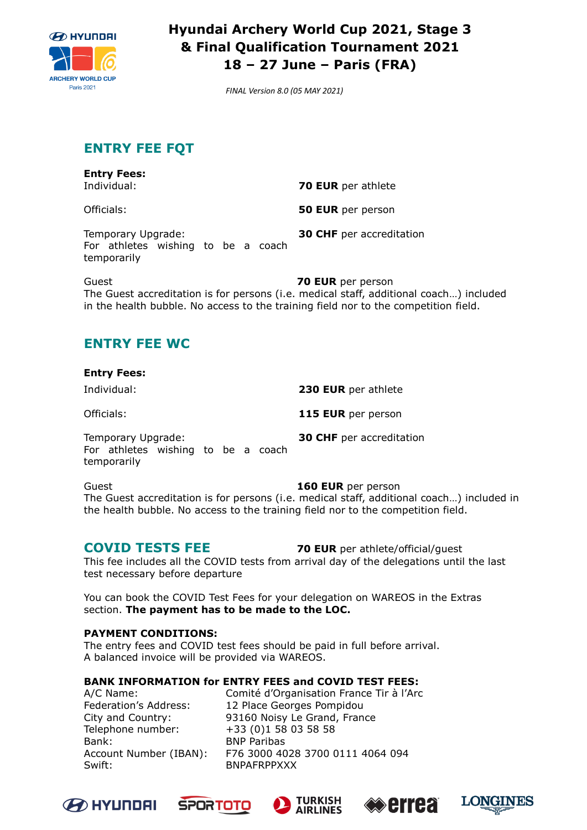

*FINAL Version 8.0 (05 MAY 2021)*

# **ENTRY FEE FQT**

| <b>Entry Fees:</b><br>Individual:                                       | <b>70 EUR</b> per athlete       |
|-------------------------------------------------------------------------|---------------------------------|
| Officials:                                                              | <b>50 EUR</b> per person        |
| Temporary Upgrade:<br>For athletes wishing to be a coach<br>temporarily | <b>30 CHF</b> per accreditation |
| $C_{11}$                                                                | 70 EIID nar naraan              |

Guest **70 EUR** per person The Guest accreditation is for persons (i.e. medical staff, additional coach…) included in the health bubble. No access to the training field nor to the competition field.

# **ENTRY FEE WC**

| <b>Entry Fees:</b>                                                      |  |  |                                 |
|-------------------------------------------------------------------------|--|--|---------------------------------|
| Individual:                                                             |  |  | 230 EUR per athlete             |
| Officials:                                                              |  |  | 115 EUR per person              |
| Temporary Upgrade:<br>For athletes wishing to be a coach<br>temporarily |  |  | <b>30 CHF</b> per accreditation |
| $C_{1122}$                                                              |  |  | 1 CA EIID nar naroon            |

Guest **160 EUR** per person The Guest accreditation is for persons (i.e. medical staff, additional coach…) included in the health bubble. No access to the training field nor to the competition field.

**COVID TESTS FEE 70 EUR** per athlete/official/guest

This fee includes all the COVID tests from arrival day of the delegations until the last test necessary before departure

You can book the COVID Test Fees for your delegation on WAREOS in the Extras section. **The payment has to be made to the LOC.**

### **PAYMENT CONDITIONS:**

The entry fees and COVID test fees should be paid in full before arrival. A balanced invoice will be provided via WAREOS.

### **BANK INFORMATION for ENTRY FEES and COVID TEST FEES:**

Bank: BNP Paribas Swift: BNPAFRPPXXX

A/C Name: Comité d'Organisation France Tir à l'Arc Federation's Address: 12 Place Georges Pompidou City and Country: 93160 Noisy Le Grand, France Telephone number: +33 (0)1 58 03 58 58 Account Number (IBAN): F76 3000 4028 3700 0111 4064 094









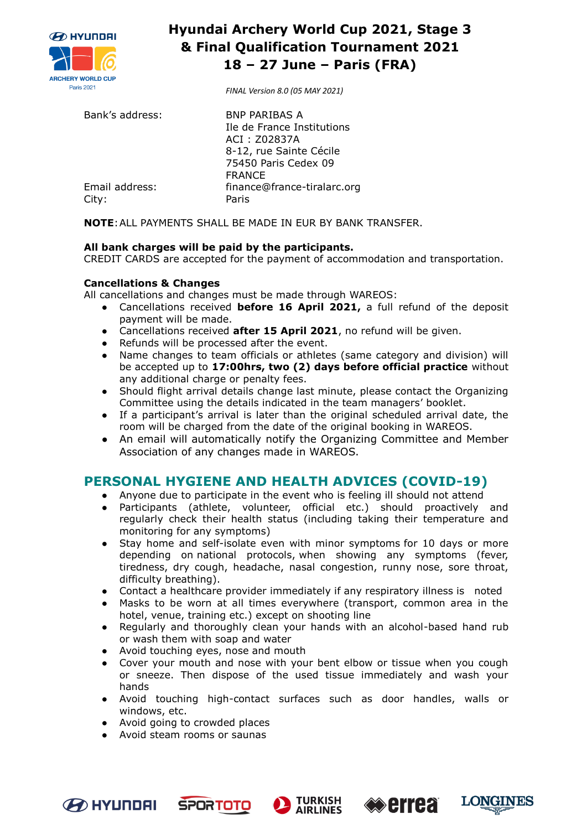

*FINAL Version 8.0 (05 MAY 2021)*

| Bank's address: | <b>BNP PARIBAS A</b>        |
|-----------------|-----------------------------|
|                 | Ile de France Institutions  |
|                 | ACI: Z02837A                |
|                 | 8-12, rue Sainte Cécile     |
|                 | 75450 Paris Cedex 09        |
|                 | <b>FRANCE</b>               |
| Email address:  | finance@france-tiralarc.org |
| City:           | Paris                       |

**NOTE**:ALL PAYMENTS SHALL BE MADE IN EUR BY BANK TRANSFER.

### **All bank charges will be paid by the participants.**

CREDIT CARDS are accepted for the payment of accommodation and transportation.

#### **Cancellations & Changes**

All cancellations and changes must be made through WAREOS:

- Cancellations received **before 16 April 2021,** a full refund of the deposit payment will be made.
- Cancellations received **after 15 April 2021**, no refund will be given.
- Refunds will be processed after the event.
- Name changes to team officials or athletes (same category and division) will be accepted up to **17:00hrs, two (2) days before official practice** without any additional charge or penalty fees.
- Should flight arrival details change last minute, please contact the Organizing Committee using the details indicated in the team managers' booklet.
- If a participant's arrival is later than the original scheduled arrival date, the room will be charged from the date of the original booking in WAREOS.
- An email will automatically notify the Organizing Committee and Member Association of any changes made in WAREOS.

### **PERSONAL HYGIENE AND HEALTH ADVICES (COVID-19)**

- Anyone due to participate in the event who is feeling ill should not attend
- Participants (athlete, volunteer, official etc.) should proactively and regularly check their health status (including taking their temperature and monitoring for any symptoms)
- Stay home and self-isolate even with minor symptoms for 10 days or more depending on national protocols, when showing any symptoms (fever, tiredness, dry cough, headache, nasal congestion, runny nose, sore throat, difficulty breathing).
- Contact a healthcare provider immediately if any respiratory illness is noted
- Masks to be worn at all times everywhere (transport, common area in the hotel, venue, training etc.) except on shooting line
- Regularly and thoroughly clean your hands with an alcohol-based hand rub or wash them with soap and water
- Avoid touching eyes, nose and mouth
- Cover your mouth and nose with your bent elbow or tissue when you cough or sneeze. Then dispose of the used tissue immediately and wash your hands
- Avoid touching high-contact surfaces such as door handles, walls or windows, etc.
- Avoid going to crowded places
- Avoid steam rooms or saunas









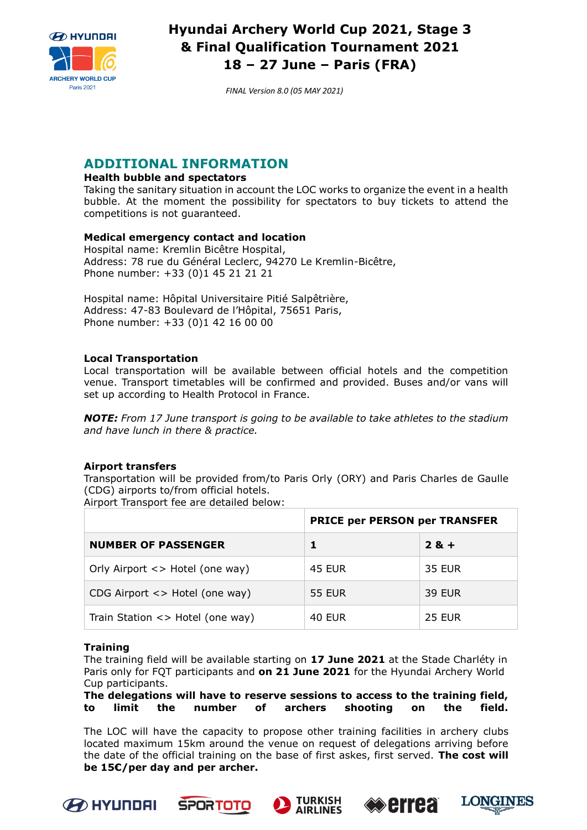

*FINAL Version 8.0 (05 MAY 2021)*

### **ADDITIONAL INFORMATION**

### **Health bubble and spectators**

Taking the sanitary situation in account the LOC works to organize the event in a health bubble. At the moment the possibility for spectators to buy tickets to attend the competitions is not guaranteed.

#### **Medical emergency contact and location**

Hospital name: Kremlin Bicêtre Hospital, Address: 78 rue du Général Leclerc, 94270 Le Kremlin-Bicêtre, Phone number: +33 (0)1 45 21 21 21

Hospital name: Hôpital Universitaire Pitié Salpêtrière, Address: 47-83 Boulevard de l'Hôpital, 75651 Paris, Phone number: +33 (0)1 42 16 00 00

#### **Local Transportation**

Local transportation will be available between official hotels and the competition venue. Transport timetables will be confirmed and provided. Buses and/or vans will set up according to Health Protocol in France.

*NOTE: From 17 June transport is going to be available to take athletes to the stadium and have lunch in there & practice.*

#### **Airport transfers**

Transportation will be provided from/to Paris Orly (ORY) and Paris Charles de Gaulle (CDG) airports to/from official hotels.

Airport Transport fee are detailed below:

|                                         | <b>PRICE per PERSON per TRANSFER</b> |               |  |  |
|-----------------------------------------|--------------------------------------|---------------|--|--|
| <b>NUMBER OF PASSENGER</b>              |                                      | $2 & +$       |  |  |
| Orly Airport <> Hotel (one way)         | <b>45 EUR</b>                        | <b>35 EUR</b> |  |  |
| CDG Airport $\langle$ > Hotel (one way) | <b>55 EUR</b>                        | <b>39 EUR</b> |  |  |
| Train Station $\langle$ Hotel (one way) | <b>40 EUR</b>                        | <b>25 EUR</b> |  |  |

#### **Training**

The training field will be available starting on **17 June 2021** at the Stade Charléty in Paris only for FQT participants and **on 21 June 2021** for the Hyundai Archery World Cup participants.

#### **The delegations will have to reserve sessions to access to the training field, to limit the number of archers shooting on the field.**

The LOC will have the capacity to propose other training facilities in archery clubs located maximum 15km around the venue on request of delegations arriving before the date of the official training on the base of first askes, first served. **The cost will be 15€/per day and per archer.**